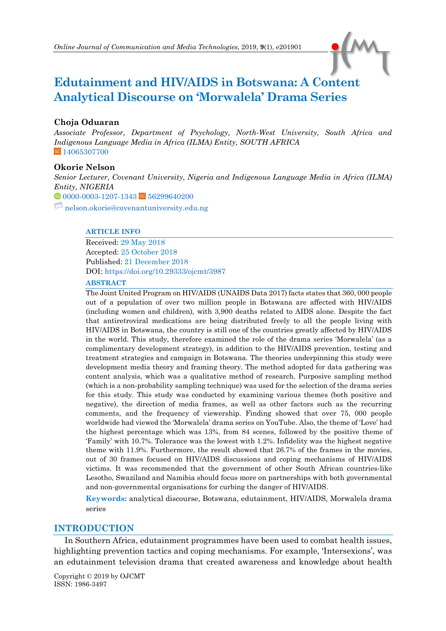# **Edutainment and HIV/AIDS in Botswana: A Content Analytical Discourse on 'Morwalela' Drama Series**

## **Choja Oduaran**

*Associate Professor, Department of Psychology, North-West University, South Africa and Indigenous Language Media in Africa (ILMA) Entity, SOUTH AFRICA* sc 14065307700

#### **Okorie Nelson**

*Senior Lecturer, Covenant University, Nigeria and Indigenous Language Media in Africa (ILMA) Entity, NIGERIA* **0** [0000-0003-1207-1343](https://orcid.org/0000-0003-1207-1343) **SC** 56299640200  $\Box$  [nelson.okorie@covenantuniversity.edu.ng](mailto:nelson.okorie@covenantuniversity.edu.ng)

#### **ARTICLE INFO**

Received: 29 May 2018 Accepted: 25 October 2018 Published: 21 December 2018 DOI[: https://doi.org/10.29333/ojcmt/3987](https://doi.org/10.29333/ojcmt/3987)

#### **ABSTRACT**

The Joint United Program on HIV/AIDS (UNAIDS Data 2017) facts states that 360, 000 people out of a population of over two million people in Botswana are affected with HIV/AIDS (including women and children), with 3,900 deaths related to AIDS alone. Despite the fact that antiretroviral medications are being distributed freely to all the people living with HIV/AIDS in Botswana, the country is still one of the countries greatly affected by HIV/AIDS in the world. This study, therefore examined the role of the drama series 'Morwalela' (as a complimentary development strategy), in addition to the HIV/AIDS prevention, testing and treatment strategies and campaign in Botswana. The theories underpinning this study were development media theory and framing theory. The method adopted for data gathering was content analysis, which was a qualitative method of research. Purposive sampling method (which is a non-probability sampling technique) was used for the selection of the drama series for this study. This study was conducted by examining various themes (both positive and negative), the direction of media frames, as well as other factors such as the recurring comments, and the frequency of viewership. Finding showed that over 75, 000 people worldwide had viewed the 'Morwalela' drama series on YouTube. Also, the theme of 'Love' had the highest percentage which was 13%, from 84 scenes, followed by the positive theme of 'Family' with 10.7%. Tolerance was the lowest with 1.2%. Infidelity was the highest negative theme with 11.9%. Furthermore, the result showed that 26.7% of the frames in the movies, out of 30 frames focused on HIV/AIDS discussions and coping mechanisms of HIV/AIDS victims. It was recommended that the government of other South African countries-like Lesotho, Swaziland and Namibia should focus more on partnerships with both governmental and non-governmental organisations for curbing the danger of HIV/AIDS.

**Keywords:** analytical discourse, Botswana, edutainment, HIV/AIDS, Morwalela drama series

#### **INTRODUCTION**

In Southern Africa, edutainment programmes have been used to combat health issues, highlighting prevention tactics and coping mechanisms. For example, 'Intersexions', was an edutainment television drama that created awareness and knowledge about health

Copyright © 2019 by OJCMT ISSN: 1986-3497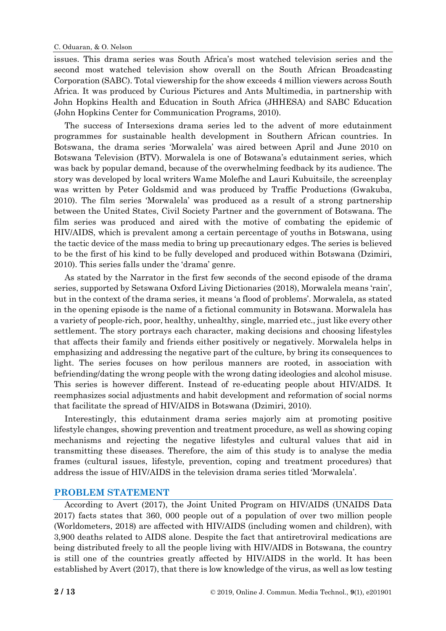issues. This drama series was South Africa's most watched television series and the second most watched television show overall on the South African Broadcasting Corporation (SABC). Total viewership for the show exceeds 4 million viewers across South Africa. It was produced by Curious Pictures and Ants Multimedia, in partnership with John Hopkins Health and Education in South Africa (JHHESA) and SABC Education (John Hopkins Center for Communication Programs, 2010).

The success of Intersexions drama series led to the advent of more edutainment programmes for sustainable health development in Southern African countries. In Botswana, the drama series 'Morwalela' was aired between April and June 2010 on Botswana Television (BTV). Morwalela is one of Botswana's edutainment series, which was back by popular demand, because of the overwhelming feedback by its audience. The story was developed by local writers Wame Molefhe and Lauri Kubuitsile, the screenplay was written by Peter Goldsmid and was produced by Traffic Productions (Gwakuba, 2010). The film series 'Morwalela' was produced as a result of a strong partnership between the United States, Civil Society Partner and the government of Botswana. The film series was produced and aired with the motive of combating the epidemic of HIV/AIDS, which is prevalent among a certain percentage of youths in Botswana, using the tactic device of the mass media to bring up precautionary edges. The series is believed to be the first of his kind to be fully developed and produced within Botswana (Dzimiri, 2010). This series falls under the 'drama' genre.

As stated by the Narrator in the first few seconds of the second episode of the drama series, supported by Setswana Oxford Living Dictionaries (2018), Morwalela means 'rain', but in the context of the drama series, it means 'a flood of problems'. Morwalela, as stated in the opening episode is the name of a fictional community in Botswana. Morwalela has a variety of people-rich, poor, healthy, unhealthy, single, married etc., just like every other settlement. The story portrays each character, making decisions and choosing lifestyles that affects their family and friends either positively or negatively. Morwalela helps in emphasizing and addressing the negative part of the culture, by bring its consequences to light. The series focuses on how perilous manners are rooted, in association with befriending/dating the wrong people with the wrong dating ideologies and alcohol misuse. This series is however different. Instead of re-educating people about HIV/AIDS. It reemphasizes social adjustments and habit development and reformation of social norms that facilitate the spread of HIV/AIDS in Botswana (Dzimiri, 2010).

Interestingly, this edutainment drama series majorly aim at promoting positive lifestyle changes, showing prevention and treatment procedure, as well as showing coping mechanisms and rejecting the negative lifestyles and cultural values that aid in transmitting these diseases. Therefore, the aim of this study is to analyse the media frames (cultural issues, lifestyle, prevention, coping and treatment procedures) that address the issue of HIV/AIDS in the television drama series titled 'Morwalela'.

#### **PROBLEM STATEMENT**

According to Avert (2017), the Joint United Program on HIV/AIDS (UNAIDS Data 2017) facts states that 360, 000 people out of a population of over two million people (Worldometers, 2018) are affected with HIV/AIDS (including women and children), with 3,900 deaths related to AIDS alone. Despite the fact that antiretroviral medications are being distributed freely to all the people living with HIV/AIDS in Botswana, the country is still one of the countries greatly affected by HIV/AIDS in the world. It has been established by Avert (2017), that there is low knowledge of the virus, as well as low testing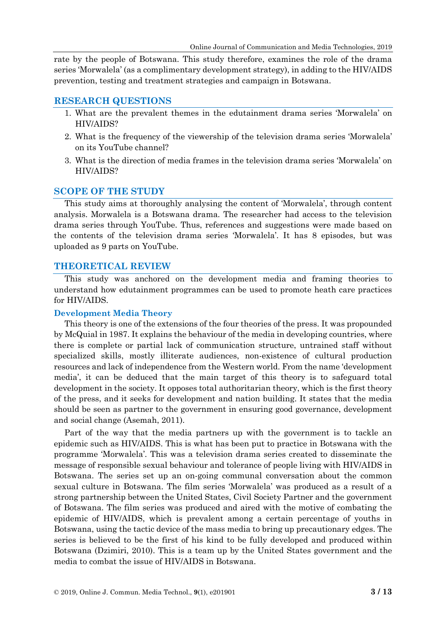rate by the people of Botswana. This study therefore, examines the role of the drama series 'Morwalela' (as a complimentary development strategy), in adding to the HIV/AIDS prevention, testing and treatment strategies and campaign in Botswana.

## **RESEARCH QUESTIONS**

- 1. What are the prevalent themes in the edutainment drama series 'Morwalela' on HIV/AIDS?
- 2. What is the frequency of the viewership of the television drama series 'Morwalela' on its YouTube channel?
- 3. What is the direction of media frames in the television drama series 'Morwalela' on HIV/AIDS?

# **SCOPE OF THE STUDY**

This study aims at thoroughly analysing the content of 'Morwalela', through content analysis. Morwalela is a Botswana drama. The researcher had access to the television drama series through YouTube. Thus, references and suggestions were made based on the contents of the television drama series 'Morwalela'. It has 8 episodes, but was uploaded as 9 parts on YouTube.

## **THEORETICAL REVIEW**

This study was anchored on the development media and framing theories to understand how edutainment programmes can be used to promote heath care practices for HIV/AIDS.

## **Development Media Theory**

This theory is one of the extensions of the four theories of the press. It was propounded by McQuial in 1987. It explains the behaviour of the media in developing countries, where there is complete or partial lack of communication structure, untrained staff without specialized skills, mostly illiterate audiences, non-existence of cultural production resources and lack of independence from the Western world. From the name 'development media', it can be deduced that the main target of this theory is to safeguard total development in the society. It opposes total authoritarian theory, which is the first theory of the press, and it seeks for development and nation building. It states that the media should be seen as partner to the government in ensuring good governance, development and social change (Asemah, 2011).

Part of the way that the media partners up with the government is to tackle an epidemic such as HIV/AIDS. This is what has been put to practice in Botswana with the programme 'Morwalela'. This was a television drama series created to disseminate the message of responsible sexual behaviour and tolerance of people living with HIV/AIDS in Botswana. The series set up an on-going communal conversation about the common sexual culture in Botswana. The film series 'Morwalela' was produced as a result of a strong partnership between the United States, Civil Society Partner and the government of Botswana. The film series was produced and aired with the motive of combating the epidemic of HIV/AIDS, which is prevalent among a certain percentage of youths in Botswana, using the tactic device of the mass media to bring up precautionary edges. The series is believed to be the first of his kind to be fully developed and produced within Botswana (Dzimiri, 2010). This is a team up by the United States government and the media to combat the issue of HIV/AIDS in Botswana.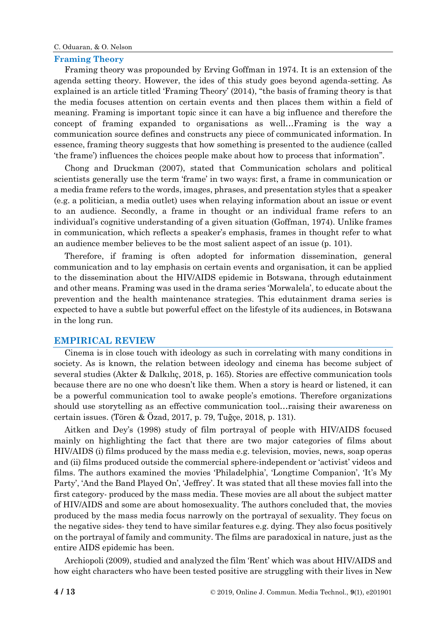#### **Framing Theory**

Framing theory was propounded by Erving Goffman in 1974. It is an extension of the agenda setting theory. However, the ides of this study goes beyond agenda-setting. As explained is an article titled 'Framing Theory' (2014), ''the basis of framing theory is that the media focuses attention on certain events and then places them within a field of meaning. Framing is important topic since it can have a big influence and therefore the concept of framing expanded to organisations as well…Framing is the way a communication source defines and constructs any piece of communicated information. In essence, framing theory suggests that how something is presented to the audience (called 'the frame') influences the choices people make about how to process that information''.

Chong and Druckman (2007), stated that Communication scholars and political scientists generally use the term 'frame' in two ways: first, a frame in communication or a media frame refers to the words, images, phrases, and presentation styles that a speaker (e.g. a politician, a media outlet) uses when relaying information about an issue or event to an audience. Secondly, a frame in thought or an individual frame refers to an individual's cognitive understanding of a given situation (Goffman, 1974). Unlike frames in communication, which reflects a speaker's emphasis, frames in thought refer to what an audience member believes to be the most salient aspect of an issue (p. 101).

Therefore, if framing is often adopted for information dissemination, general communication and to lay emphasis on certain events and organisation, it can be applied to the dissemination about the HIV/AIDS epidemic in Botswana, through edutainment and other means. Framing was used in the drama series 'Morwalela', to educate about the prevention and the health maintenance strategies. This edutainment drama series is expected to have a subtle but powerful effect on the lifestyle of its audiences, in Botswana in the long run.

## **EMPIRICAL REVIEW**

Cinema is in close touch with ideology as such in correlating with many conditions in society. As is known, the relation between ideology and cinema has become subject of several studies (Akter & Dalkılıç, 2018, p. 165). Stories are effective communication tools because there are no one who doesn't like them. When a story is heard or listened, it can be a powerful communication tool to awake people's emotions. Therefore organizations should use storytelling as an effective communication tool…raising their awareness on certain issues. (Tören & Özad, 2017, p. 79, Tuğçe, 2018, p. 131).

Aitken and Dey's (1998) study of film portrayal of people with HIV/AIDS focused mainly on highlighting the fact that there are two major categories of films about HIV/AIDS (i) films produced by the mass media e.g. television, movies, news, soap operas and (ii) films produced outside the commercial sphere-independent or 'activist' videos and films. The authors examined the movies 'Philadelphia', 'Longtime Companion', 'It's My Party', 'And the Band Played On', 'Jeffrey'. It was stated that all these movies fall into the first category- produced by the mass media. These movies are all about the subject matter of HIV/AIDS and some are about homosexuality. The authors concluded that, the movies produced by the mass media focus narrowly on the portrayal of sexuality. They focus on the negative sides- they tend to have similar features e.g. dying. They also focus positively on the portrayal of family and community. The films are paradoxical in nature, just as the entire AIDS epidemic has been.

Archiopoli (2009), studied and analyzed the film 'Rent' which was about HIV/AIDS and how eight characters who have been tested positive are struggling with their lives in New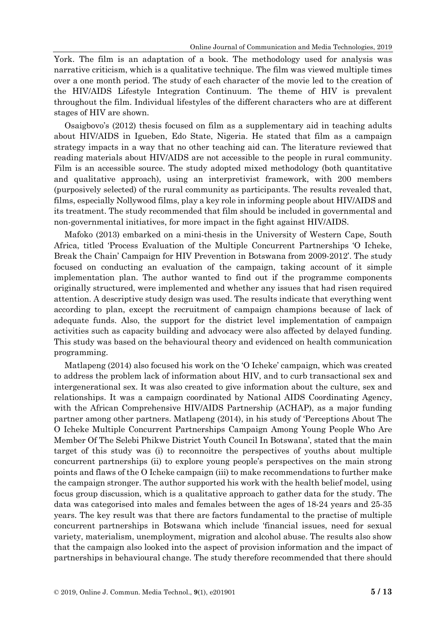York. The film is an adaptation of a book. The methodology used for analysis was narrative criticism, which is a qualitative technique. The film was viewed multiple times over a one month period. The study of each character of the movie led to the creation of the HIV/AIDS Lifestyle Integration Continuum. The theme of HIV is prevalent throughout the film. Individual lifestyles of the different characters who are at different stages of HIV are shown.

Osaigbovo's (2012) thesis focused on film as a supplementary aid in teaching adults about HIV/AIDS in Igueben, Edo State, Nigeria. He stated that film as a campaign strategy impacts in a way that no other teaching aid can. The literature reviewed that reading materials about HIV/AIDS are not accessible to the people in rural community. Film is an accessible source. The study adopted mixed methodology (both quantitative and qualitative approach), using an interpretivist framework, with 200 members (purposively selected) of the rural community as participants. The results revealed that, films, especially Nollywood films, play a key role in informing people about HIV/AIDS and its treatment. The study recommended that film should be included in governmental and non-governmental initiatives, for more impact in the fight against HIV/AIDS.

Mafoko (2013) embarked on a mini-thesis in the University of Western Cape, South Africa, titled 'Process Evaluation of the Multiple Concurrent Partnerships 'O Icheke, Break the Chain' Campaign for HIV Prevention in Botswana from 2009-2012'. The study focused on conducting an evaluation of the campaign, taking account of it simple implementation plan. The author wanted to find out if the programme components originally structured, were implemented and whether any issues that had risen required attention. A descriptive study design was used. The results indicate that everything went according to plan, except the recruitment of campaign champions because of lack of adequate funds. Also, the support for the district level implementation of campaign activities such as capacity building and advocacy were also affected by delayed funding. This study was based on the behavioural theory and evidenced on health communication programming.

Matlapeng (2014) also focused his work on the 'O Icheke' campaign, which was created to address the problem lack of information about HIV, and to curb transactional sex and intergenerational sex. It was also created to give information about the culture, sex and relationships. It was a campaign coordinated by National AIDS Coordinating Agency, with the African Comprehensive HIV/AIDS Partnership (ACHAP), as a major funding partner among other partners. Matlapeng (2014), in his study of 'Perceptions About The O Icheke Multiple Concurrent Partnerships Campaign Among Young People Who Are Member Of The Selebi Phikwe District Youth Council In Botswana', stated that the main target of this study was (i) to reconnoitre the perspectives of youths about multiple concurrent partnerships (ii) to explore young people's perspectives on the main strong points and flaws of the O Icheke campaign (iii) to make recommendations to further make the campaign stronger. The author supported his work with the health belief model, using focus group discussion, which is a qualitative approach to gather data for the study. The data was categorised into males and females between the ages of 18-24 years and 25-35 years. The key result was that there are factors fundamental to the practise of multiple concurrent partnerships in Botswana which include 'financial issues, need for sexual variety, materialism, unemployment, migration and alcohol abuse. The results also show that the campaign also looked into the aspect of provision information and the impact of partnerships in behavioural change. The study therefore recommended that there should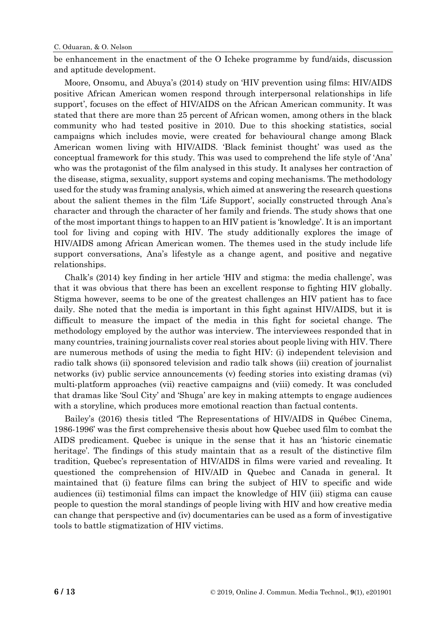be enhancement in the enactment of the O Icheke programme by fund/aids, discussion and aptitude development.

Moore, Onsomu, and Abuya's (2014) study on 'HIV prevention using films: HIV/AIDS positive African American women respond through interpersonal relationships in life support', focuses on the effect of HIV/AIDS on the African American community. It was stated that there are more than 25 percent of African women, among others in the black community who had tested positive in 2010. Due to this shocking statistics, social campaigns which includes movie, were created for behavioural change among Black American women living with HIV/AIDS. 'Black feminist thought' was used as the conceptual framework for this study. This was used to comprehend the life style of 'Ana' who was the protagonist of the film analysed in this study. It analyses her contraction of the disease, stigma, sexuality, support systems and coping mechanisms. The methodology used for the study was framing analysis, which aimed at answering the research questions about the salient themes in the film 'Life Support', socially constructed through Ana's character and through the character of her family and friends. The study shows that one of the most important things to happen to an HIV patient is 'knowledge'. It is an important tool for living and coping with HIV. The study additionally explores the image of HIV/AIDS among African American women. The themes used in the study include life support conversations, Ana's lifestyle as a change agent, and positive and negative relationships.

Chalk's (2014) key finding in her article 'HIV and stigma: the media challenge', was that it was obvious that there has been an excellent response to fighting HIV globally. Stigma however, seems to be one of the greatest challenges an HIV patient has to face daily. She noted that the media is important in this fight against HIV/AIDS, but it is difficult to measure the impact of the media in this fight for societal change. The methodology employed by the author was interview. The interviewees responded that in many countries, training journalists cover real stories about people living with HIV. There are numerous methods of using the media to fight HIV: (i) independent television and radio talk shows (ii) sponsored television and radio talk shows (iii) creation of journalist networks (iv) public service announcements (v) feeding stories into existing dramas (vi) multi-platform approaches (vii) reactive campaigns and (viii) comedy. It was concluded that dramas like 'Soul City' and 'Shuga' are key in making attempts to engage audiences with a storyline, which produces more emotional reaction than factual contents.

Bailey's (2016) thesis titled 'The Representations of HIV/AIDS in Québec Cinema, 1986-1996' was the first comprehensive thesis about how Quebec used film to combat the AIDS predicament. Quebec is unique in the sense that it has an 'historic cinematic heritage'. The findings of this study maintain that as a result of the distinctive film tradition, Quebec's representation of HIV/AIDS in films were varied and revealing. It questioned the comprehension of HIV/AID in Quebec and Canada in general. It maintained that (i) feature films can bring the subject of HIV to specific and wide audiences (ii) testimonial films can impact the knowledge of HIV (iii) stigma can cause people to question the moral standings of people living with HIV and how creative media can change that perspective and (iv) documentaries can be used as a form of investigative tools to battle stigmatization of HIV victims.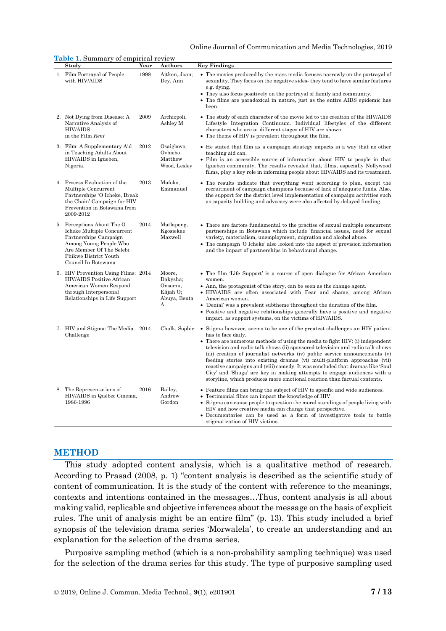| Online Journal of Communication and Media Technologies, 2019 |  |  |  |  |
|--------------------------------------------------------------|--|--|--|--|
|--------------------------------------------------------------|--|--|--|--|

| Table 1. Summary of empirical review                                                                                                                                                    |      |                                                                 |                                                                                                                                                                                                                                                                                                                                                                                                                                                                                                                                                                                                                                                                          |
|-----------------------------------------------------------------------------------------------------------------------------------------------------------------------------------------|------|-----------------------------------------------------------------|--------------------------------------------------------------------------------------------------------------------------------------------------------------------------------------------------------------------------------------------------------------------------------------------------------------------------------------------------------------------------------------------------------------------------------------------------------------------------------------------------------------------------------------------------------------------------------------------------------------------------------------------------------------------------|
| Study                                                                                                                                                                                   | Year | <b>Authors</b>                                                  | <b>Key Findings</b>                                                                                                                                                                                                                                                                                                                                                                                                                                                                                                                                                                                                                                                      |
| 1. Film Portrayal of People<br>with HIV/AIDS                                                                                                                                            | 1998 | Aitken, Joan;<br>Dey, Ann                                       | • The movies produced by the mass media focuses narrowly on the portrayal of<br>sexuality. They focus on the negative sides-they tend to have similar features<br>e.g. dying.<br>• They also focus positively on the portrayal of family and community.<br>• The films are paradoxical in nature, just as the entire AIDS epidemic has<br>been.                                                                                                                                                                                                                                                                                                                          |
| 2. Not Dying from Disease: A<br>Narrative Analysis of<br><b>HIV/AIDS</b><br>in the Film Rent                                                                                            | 2009 | Archiopoli,<br>Ashley M                                         | • The study of each character of the movie led to the creation of the HIV/AIDS<br>Lifestyle Integration Continuum. Individual lifestyles of the different<br>characters who are at different stages of HIV are shown.<br>• The theme of HIV is prevalent throughout the film.                                                                                                                                                                                                                                                                                                                                                                                            |
| 3. Film: A Supplementary Aid<br>in Teaching Adults About<br>HIV/AIDS in Igueben,<br>Nigeria.                                                                                            | 2012 | Osaigbovo,<br>Ovbiebo<br>Matthew<br>Wood, Lesley                | • He stated that film as a campaign strategy impacts in a way that no other<br>teaching aid can.<br>• Film is an accessible source of information about HIV to people in that<br>Igueben community. The results revealed that, films, especially Nollywood<br>films, play a key role in informing people about HIV/AIDS and its treatment.                                                                                                                                                                                                                                                                                                                               |
| 4. Process Evaluation of the<br>Multiple Concurrent<br>Partnerships 'O Icheke, Break<br>the Chain' Campaign for HIV<br>Prevention in Botswana from<br>2009-2012                         | 2013 | Mafoko,<br>Emmanuel                                             | • The results indicate that everything went according to plan, except the<br>recruitment of campaign champions because of lack of adequate funds. Also,<br>the support for the district level implementation of campaign activities such<br>as capacity building and advocacy were also affected by delayed funding.                                                                                                                                                                                                                                                                                                                                                     |
| 5. Perceptions About The O<br>Icheke Multiple Concurrent<br>Partnerships Campaign<br>Among Young People Who<br>Are Member Of The Selebi<br>Phikwe District Youth<br>Council In Botswana | 2014 | Matlapeng,<br>Kgosiekae<br>Maxwell                              | • There are factors fundamental to the practise of sexual multiple concurrent<br>partnerships in Botswana which include 'financial issues, need for sexual<br>variety, materialism, unemployment, migration and alcohol abuse.<br>• The campaign 'O Icheke' also looked into the aspect of provision information<br>and the impact of partnerships in behavioural change.                                                                                                                                                                                                                                                                                                |
| 6. HIV Prevention Using Films: 2014<br><b>HIV/AIDS</b> Positive African<br>American Women Respond<br>through Interpersonal<br>Relationships in Life Support                             |      | Moore,<br>Dakysha;<br>Onsomu,<br>Elijah O;<br>Abuya, Benta<br>А | • The film 'Life Support' is a source of open dialogue for African American<br>women.<br>• Ann, the protagonist of the story, can be seen as the change agent.<br>• HIV/AIDS are often associated with Fear and shame, among African<br>American women.<br>• 'Denial' was a prevalent subtheme throughout the duration of the film.<br>• Positive and negative relationships generally have a positive and negative<br>impact, as support systems, on the victims of HIV/AIDS.                                                                                                                                                                                           |
| 7. HIV and Stigma: The Media 2014<br>Challenge                                                                                                                                          |      | Chalk, Sophie                                                   | • Stigma however, seems to be one of the greatest challenges an HIV patient<br>has to face daily.<br>• There are numerous methods of using the media to fight HIV: (i) independent<br>television and radio talk shows (ii) sponsored television and radio talk shows<br>(iii) creation of journalist networks (iv) public service announcements (v)<br>feeding stories into existing dramas (vi) multi-platform approaches (vii)<br>reactive campaigns and (viii) comedy. It was concluded that dramas like 'Soul<br>City' and 'Shuga' are key in making attempts to engage audiences with a<br>storyline, which produces more emotional reaction than factual contents. |
| 8. The Representations of<br>HIV/AIDS in Québec Cinema,<br>1986-1996                                                                                                                    | 2016 | Bailey,<br>Andrew<br>Gordon                                     | • Feature films can bring the subject of HIV to specific and wide audiences.<br>• Testimonial films can impact the knowledge of HIV.<br>• Stigma can cause people to question the moral standings of people living with<br>HIV and how creative media can change that perspective.<br>• Documentaries can be used as a form of investigative tools to battle<br>stigmatization of HIV victims.                                                                                                                                                                                                                                                                           |

## **METHOD**

This study adopted content analysis, which is a qualitative method of research. According to Prasad (2008, p. 1) ''content analysis is described as the scientific study of content of communication. It is the study of the content with reference to the meanings, contexts and intentions contained in the messages…Thus, content analysis is all about making valid, replicable and objective inferences about the message on the basis of explicit rules. The unit of analysis might be an entire film" (p. 13). This study included a brief synopsis of the television drama series 'Morwalela', to create an understanding and an explanation for the selection of the drama series.

Purposive sampling method (which is a non-probability sampling technique) was used for the selection of the drama series for this study. The type of purposive sampling used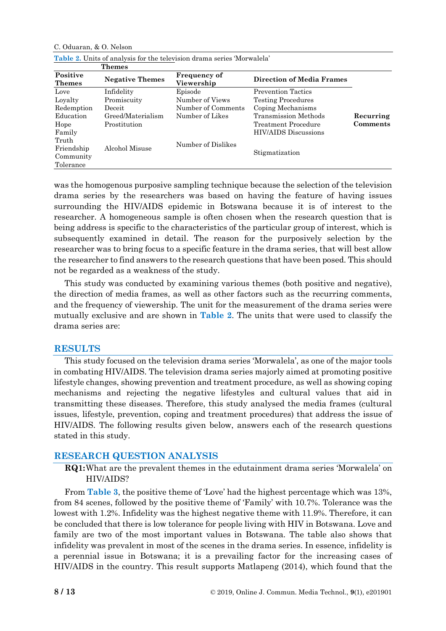#### C. Oduaran, & O. Nelson

|                           | <b>Themes</b>          |                                   |                                  |                 |
|---------------------------|------------------------|-----------------------------------|----------------------------------|-----------------|
| Positive<br><b>Themes</b> | <b>Negative Themes</b> | <b>Frequency of</b><br>Viewership | <b>Direction of Media Frames</b> |                 |
| Love                      | Infidelity             | Episode                           | <b>Prevention Tactics</b>        |                 |
| Loyalty                   | Promiscuity            | Number of Views                   | <b>Testing Procedures</b>        |                 |
| Redemption                | Deceit                 | Number of Comments                | Coping Mechanisms                |                 |
| Education                 | Greed/Materialism      | Number of Likes                   | <b>Transmission Methods</b>      | Recurring       |
| Hope                      | Prostitution           |                                   | Treatment Procedure              | <b>Comments</b> |
| Family                    |                        |                                   | <b>HIV/AIDS</b> Discussions      |                 |
| Truth                     |                        | Number of Dislikes                |                                  |                 |
| Friendship                | Alcohol Misuse         |                                   | Stigmatization                   |                 |
| Community                 |                        |                                   |                                  |                 |
| Tolerance                 |                        |                                   |                                  |                 |

|  |  |  |  |  |  |  | Table 2. Units of analysis for the television drama series 'Morwalela' |
|--|--|--|--|--|--|--|------------------------------------------------------------------------|
|--|--|--|--|--|--|--|------------------------------------------------------------------------|

was the homogenous purposive sampling technique because the selection of the television drama series by the researchers was based on having the feature of having issues surrounding the HIV/AIDS epidemic in Botswana because it is of interest to the researcher. A homogeneous sample is often chosen when the research question that is being address is specific to the characteristics of the particular group of interest, which is subsequently examined in detail. The reason for the purposively selection by the researcher was to bring focus to a specific feature in the drama series, that will best allow the researcher to find answers to the research questions that have been posed. This should not be regarded as a weakness of the study.

This study was conducted by examining various themes (both positive and negative), the direction of media frames, as well as other factors such as the recurring comments, and the frequency of viewership. The unit for the measurement of the drama series were mutually exclusive and are shown in **Table 2**. The units that were used to classify the drama series are:

#### **RESULTS**

This study focused on the television drama series 'Morwalela', as one of the major tools in combating HIV/AIDS. The television drama series majorly aimed at promoting positive lifestyle changes, showing prevention and treatment procedure, as well as showing coping mechanisms and rejecting the negative lifestyles and cultural values that aid in transmitting these diseases. Therefore, this study analysed the media frames (cultural issues, lifestyle, prevention, coping and treatment procedures) that address the issue of HIV/AIDS. The following results given below, answers each of the research questions stated in this study.

#### **RESEARCH QUESTION ANALYSIS**

## **RQ1:**What are the prevalent themes in the edutainment drama series 'Morwalela' on HIV/AIDS?

From **Table 3**, the positive theme of 'Love' had the highest percentage which was 13%, from 84 scenes, followed by the positive theme of 'Family' with 10.7%. Tolerance was the lowest with 1.2%. Infidelity was the highest negative theme with 11.9%. Therefore, it can be concluded that there is low tolerance for people living with HIV in Botswana. Love and family are two of the most important values in Botswana. The table also shows that infidelity was prevalent in most of the scenes in the drama series. In essence, infidelity is a perennial issue in Botswana; it is a prevailing factor for the increasing cases of HIV/AIDS in the country. This result supports Matlapeng (2014), which found that the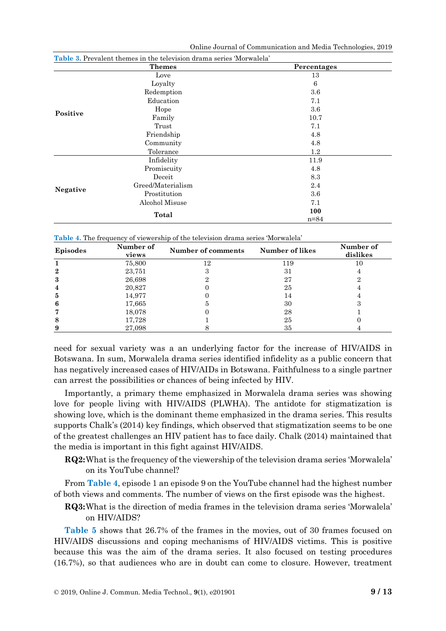Online Journal of Communication and Media Technologies, 2019

|          | <b>Themes</b>     | Percentages |
|----------|-------------------|-------------|
|          | Love              | 13          |
|          | Loyalty           | 6           |
|          | Redemption        | 3.6         |
|          | Education         | 7.1         |
| Positive | Hope              | 3.6         |
|          | Family            | 10.7        |
|          | Trust             | 7.1         |
|          | Friendship        | 4.8         |
|          | Community         | 4.8         |
|          | Tolerance         | 1.2         |
|          | Infidelity        | 11.9        |
|          | Promiscuity       | 4.8         |
|          | Deceit            | 8.3         |
|          | Greed/Materialism | 2.4         |
| Negative | Prostitution      | 3.6         |
|          | Alcohol Misuse    | 7.1         |
|          |                   | 100         |
|          | Total             | $n = 84$    |

**Table 4.** The frequency of viewership of the television drama series 'Morwalela'

| Episodes | Number of<br>views | Number of comments | Number of likes | Number of<br>dislikes |
|----------|--------------------|--------------------|-----------------|-----------------------|
|          | 75,800             | 12                 | 119             | 10                    |
| $\bf{2}$ | 23,751             |                    | 31              |                       |
| 3        | 26,698             |                    |                 |                       |
| 4        | 20,827             |                    | 25              |                       |
| 5        | 14,977             |                    | 14              |                       |
| 6        | 17,665             |                    | 30              |                       |
|          | 18,078             |                    | 28              |                       |
| 8        | 17,728             |                    | 25              |                       |
| 9        | 27,098             |                    | 35              |                       |

need for sexual variety was a an underlying factor for the increase of HIV/AIDS in Botswana. In sum, Morwalela drama series identified infidelity as a public concern that has negatively increased cases of HIV/AIDs in Botswana. Faithfulness to a single partner can arrest the possibilities or chances of being infected by HIV.

Importantly, a primary theme emphasized in Morwalela drama series was showing love for people living with HIV/AIDS (PLWHA). The antidote for stigmatization is showing love, which is the dominant theme emphasized in the drama series. This results supports Chalk's (2014) key findings, which observed that stigmatization seems to be one of the greatest challenges an HIV patient has to face daily. Chalk (2014) maintained that the media is important in this fight against HIV/AIDS.

**RQ2:**What is the frequency of the viewership of the television drama series 'Morwalela' on its YouTube channel?

From **Table 4**, episode 1 an episode 9 on the YouTube channel had the highest number of both views and comments. The number of views on the first episode was the highest.

**RQ3:**What is the direction of media frames in the television drama series 'Morwalela' on HIV/AIDS?

**Table 5** shows that 26.7% of the frames in the movies, out of 30 frames focused on HIV/AIDS discussions and coping mechanisms of HIV/AIDS victims. This is positive because this was the aim of the drama series. It also focused on testing procedures (16.7%), so that audiences who are in doubt can come to closure. However, treatment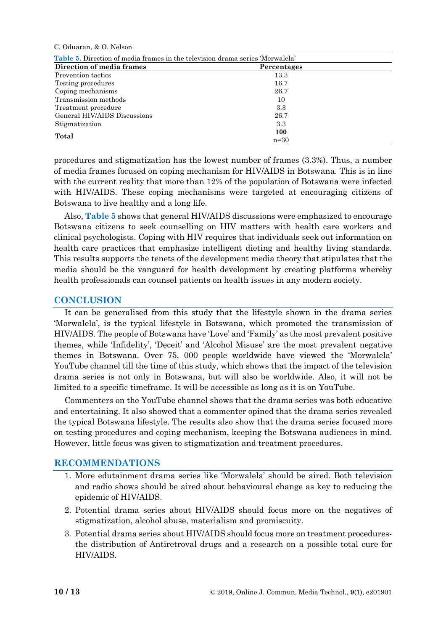C. Oduaran, & O. Nelson

| Direction of media frames    | Percentages |  |
|------------------------------|-------------|--|
| Prevention tactics           | 13.3        |  |
| Testing procedures           | 16.7        |  |
| Coping mechanisms            | 26.7        |  |
| Transmission methods         | 10          |  |
| Treatment procedure          | 3.3         |  |
| General HIV/AIDS Discussions | 26.7        |  |
| Stigmatization               | 3.3         |  |
|                              | 100         |  |
| Total                        | $n=30$      |  |

procedures and stigmatization has the lowest number of frames (3.3%). Thus, a number of media frames focused on coping mechanism for HIV/AIDS in Botswana. This is in line with the current reality that more than 12% of the population of Botswana were infected with HIV/AIDS. These coping mechanisms were targeted at encouraging citizens of Botswana to live healthy and a long life.

Also, **Table 5** shows that general HIV/AIDS discussions were emphasized to encourage Botswana citizens to seek counselling on HIV matters with health care workers and clinical psychologists. Coping with HIV requires that individuals seek out information on health care practices that emphasize intelligent dieting and healthy living standards. This results supports the tenets of the development media theory that stipulates that the media should be the vanguard for health development by creating platforms whereby health professionals can counsel patients on health issues in any modern society.

# **CONCLUSION**

It can be generalised from this study that the lifestyle shown in the drama series 'Morwalela', is the typical lifestyle in Botswana, which promoted the transmission of HIV/AIDS. The people of Botswana have 'Love' and 'Family' as the most prevalent positive themes, while 'Infidelity', 'Deceit' and 'Alcohol Misuse' are the most prevalent negative themes in Botswana. Over 75, 000 people worldwide have viewed the 'Morwalela' YouTube channel till the time of this study, which shows that the impact of the television drama series is not only in Botswana, but will also be worldwide. Also, it will not be limited to a specific timeframe. It will be accessible as long as it is on YouTube.

Commenters on the YouTube channel shows that the drama series was both educative and entertaining. It also showed that a commenter opined that the drama series revealed the typical Botswana lifestyle. The results also show that the drama series focused more on testing procedures and coping mechanism, keeping the Botswana audiences in mind. However, little focus was given to stigmatization and treatment procedures.

# **RECOMMENDATIONS**

- 1. More edutainment drama series like 'Morwalela' should be aired. Both television and radio shows should be aired about behavioural change as key to reducing the epidemic of HIV/AIDS.
- 2. Potential drama series about HIV/AIDS should focus more on the negatives of stigmatization, alcohol abuse, materialism and promiscuity.
- 3. Potential drama series about HIV/AIDS should focus more on treatment proceduresthe distribution of Antiretroval drugs and a research on a possible total cure for HIV/AIDS.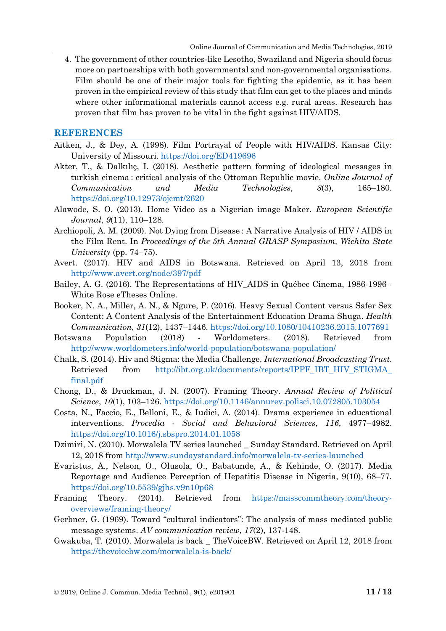4. The government of other countries-like Lesotho, Swaziland and Nigeria should focus more on partnerships with both governmental and non-governmental organisations. Film should be one of their major tools for fighting the epidemic, as it has been proven in the empirical review of this study that film can get to the places and minds where other informational materials cannot access e.g. rural areas. Research has proven that film has proven to be vital in the fight against HIV/AIDS.

#### **REFERENCES**

- Aitken, J., & Dey, A. (1998). Film Portrayal of People with HIV/AIDS. Kansas City: University of Missouri.<https://doi.org/ED419696>
- Akter, T., & Dalkılıç, I. (2018). Aesthetic pattern forming of ideological messages in turkish cinema : critical analysis of the Ottoman Republic movie. *Online Journal of Communication and Media Technologies*, *8*(3), 165–180. <https://doi.org/10.12973/ojcmt/2620>
- Alawode, S. O. (2013). Home Video as a Nigerian image Maker. *European Scientific Journal*, *9*(11), 110–128.
- Archiopoli, A. M. (2009). Not Dying from Disease : A Narrative Analysis of HIV / AIDS in the Film Rent. In *Proceedings of the 5th Annual GRASP Symposium, Wichita State University* (pp. 74–75).
- Avert. (2017). HIV and AIDS in Botswana. Retrieved on April 13, 2018 from <http://www.avert.org/node/397/pdf>
- Bailey, A. G. (2016). The Representations of HIV\_AIDS in Québec Cinema, 1986-1996 White Rose eTheses Online.
- Booker, N. A., Miller, A. N., & Ngure, P. (2016). Heavy Sexual Content versus Safer Sex Content: A Content Analysis of the Entertainment Education Drama Shuga. *Health Communication*, *31*(12), 1437–1446.<https://doi.org/10.1080/10410236.2015.1077691>
- Botswana Population (2018) Worldometers. (2018). Retrieved from <http://www.worldometers.info/world-population/botswana-population/>
- Chalk, S. (2014). Hiv and Stigma: the Media Challenge. *International Broadcasting Trust*. Retrieved from http://ibt.org.uk/documents/reports/IPPF\_IBT\_HIV\_STIGMA [final.pdf](http://ibt.org.uk/documents/reports/IPPF_IBT_HIV_STIGMA_final.pdf)
- Chong, D., & Druckman, J. N. (2007). Framing Theory. *Annual Review of Political Science*, *10*(1), 103–126.<https://doi.org/10.1146/annurev.polisci.10.072805.103054>
- Costa, N., Faccio, E., Belloni, E., & Iudici, A. (2014). Drama experience in educational interventions. *Procedia - Social and Behavioral Sciences*, *116*, 4977–4982. <https://doi.org/10.1016/j.sbspro.2014.01.1058>
- Dzimiri, N. (2010). Morwalela TV series launched \_ Sunday Standard. Retrieved on April 12, 2018 from<http://www.sundaystandard.info/morwalela-tv-series-launched>
- Evaristus, A., Nelson, O., Olusola, O., Babatunde, A., & Kehinde, O. (2017). Media Reportage and Audience Perception of Hepatitis Disease in Nigeria, 9(10), 68–77. <https://doi.org/10.5539/gjhs.v9n10p68>
- Framing Theory. (2014). Retrieved from [https://masscommtheory.com/theory](https://masscommtheory.com/theory-overviews/framing-theory/)[overviews/framing-theory/](https://masscommtheory.com/theory-overviews/framing-theory/)
- Gerbner, G. (1969). Toward "cultural indicators": The analysis of mass mediated public message systems. *AV communication review*, *17*(2), 137-148.
- Gwakuba, T. (2010). Morwalela is back \_ TheVoiceBW. Retrieved on April 12, 2018 from <https://thevoicebw.com/morwalela-is-back/>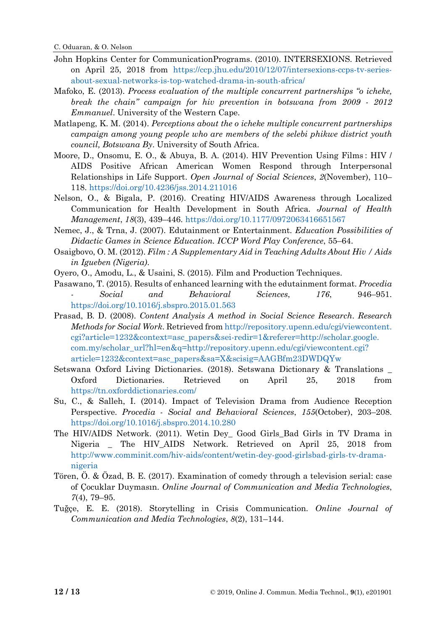- John Hopkins Center for CommunicationPrograms. (2010). INTERSEXIONS. Retrieved on April 25, 2018 from [https://ccp.jhu.edu/2010/12/07/intersexions-ccps-tv-series](https://ccp.jhu.edu/2010/12/07/intersexions-ccps-tv-series-about-sexual-networks-is-top-watched-drama-in-south-africa/)[about-sexual-networks-is-top-watched-drama-in-south-africa/](https://ccp.jhu.edu/2010/12/07/intersexions-ccps-tv-series-about-sexual-networks-is-top-watched-drama-in-south-africa/)
- Mafoko, E. (2013). *Process evaluation of the multiple concurrent partnerships "o icheke, break the chain" campaign for hiv prevention in botswana from 2009 - 2012 Emmanuel*. University of the Western Cape.
- Matlapeng, K. M. (2014). *Perceptions about the o icheke multiple concurrent partnerships campaign among young people who are members of the selebi phikwe district youth council, Botswana By*. University of South Africa.
- Moore, D., Onsomu, E. O., & Abuya, B. A. (2014). HIV Prevention Using Films : HIV / AIDS Positive African American Women Respond through Interpersonal Relationships in Life Support. *Open Journal of Social Sciences*, *2*(November), 110– 118. <https://doi.org/10.4236/jss.2014.211016>
- Nelson, O., & Bigala, P. (2016). Creating HIV/AIDS Awareness through Localized Communication for Health Development in South Africa. *Journal of Health Management*, *18*(3), 439–446.<https://doi.org/10.1177/0972063416651567>
- Nemec, J., & Trna, J. (2007). Edutainment or Entertainment. *Education Possibilities of Didactic Games in Science Education. ICCP Word Play Conference*, 55–64.
- Osaigbovo, O. M. (2012). *Film : A Supplementary Aid in Teaching Adults About Hiv / Aids in Igueben (Nigeria)*.
- Oyero, O., Amodu, L., & Usaini, S. (2015). Film and Production Techniques.
- Pasawano, T. (2015). Results of enhanced learning with the edutainment format. *Procedia - Social and Behavioral Sciences*, *176*, 946–951. <https://doi.org/10.1016/j.sbspro.2015.01.563>
- Prasad, B. D. (2008). *Content Analysis A method in Social Science Research*. *Research Methods for Social Work*. Retrieved from [http://repository.upenn.edu/cgi/viewcontent.](http://repository.upenn.edu/cgi/viewcontent.cgi?article=1232&context=asc_papers&sei-redir=1&referer=http://scholar.google.com.my/scholar_url?hl=en&q=http://repository.upenn.edu/cgi/viewcontent.cgi?article=1232&context=asc_papers&sa=X&scisig=AAGBfm23DWDQYw) [cgi?article=1232&context=asc\\_papers&sei-redir=1&referer=http://scholar.google.](http://repository.upenn.edu/cgi/viewcontent.cgi?article=1232&context=asc_papers&sei-redir=1&referer=http://scholar.google.com.my/scholar_url?hl=en&q=http://repository.upenn.edu/cgi/viewcontent.cgi?article=1232&context=asc_papers&sa=X&scisig=AAGBfm23DWDQYw) [com.my/scholar\\_url?hl=en&q=http://repository.upenn.edu/cgi/viewcontent.cgi?](http://repository.upenn.edu/cgi/viewcontent.cgi?article=1232&context=asc_papers&sei-redir=1&referer=http://scholar.google.com.my/scholar_url?hl=en&q=http://repository.upenn.edu/cgi/viewcontent.cgi?article=1232&context=asc_papers&sa=X&scisig=AAGBfm23DWDQYw) [article=1232&context=asc\\_papers&sa=X&scisig=AAGBfm23DWDQYw](http://repository.upenn.edu/cgi/viewcontent.cgi?article=1232&context=asc_papers&sei-redir=1&referer=http://scholar.google.com.my/scholar_url?hl=en&q=http://repository.upenn.edu/cgi/viewcontent.cgi?article=1232&context=asc_papers&sa=X&scisig=AAGBfm23DWDQYw)
- Setswana Oxford Living Dictionaries. (2018). Setswana Dictionary & Translations \_ Oxford Dictionaries. Retrieved on April 25, 2018 from <https://tn.oxforddictionaries.com/>
- Su, C., & Salleh, I. (2014). Impact of Television Drama from Audience Reception Perspective. *Procedia - Social and Behavioral Sciences*, *155*(October), 203–208. <https://doi.org/10.1016/j.sbspro.2014.10.280>
- The HIV/AIDS Network. (2011). Wetin Dey\_ Good Girls\_Bad Girls in TV Drama in Nigeria \_ The HIV\_AIDS Network. Retrieved on April 25, 2018 from [http://www.comminit.com/hiv-aids/content/wetin-dey-good-girlsbad-girls-tv-drama](http://www.comminit.com/hiv-aids/content/wetin-dey-good-girlsbad-girls-tv-drama-nigeria)[nigeria](http://www.comminit.com/hiv-aids/content/wetin-dey-good-girlsbad-girls-tv-drama-nigeria)
- Tören, Ö. & Özad, B. E. (2017). Examination of comedy through a television serial: case of Çocuklar Duymasın. *Online Journal of Communication and Media Technologies*, *7*(4), 79–95.
- Tuğçe, E. E. (2018). Storytelling in Crisis Communication. *Online Journal of Communication and Media Technologies*, *8*(2), 131–144.